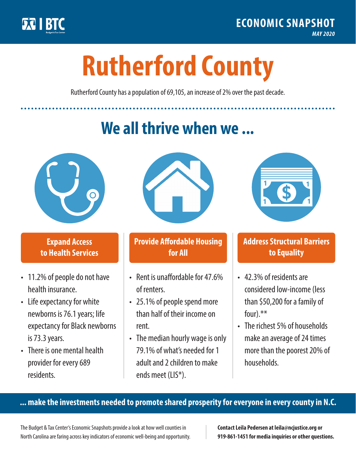

**1**

# **Rutherford County**

Rutherford County has a population of 69,105, an increase of 2% over the past decade.

# **We all thrive when we ...**



**\$ <sup>1</sup>**

**\$ <sup>1</sup>**

### **Expand Access to Health Services**

- 11.2% of people do not have health insurance.
- Life expectancy for white newborns is 76.1years; life expectancy for Black newborns is 73.3years.
- There is one mental health provider for every 689 residents.



## **Provide Affordable Housing for All**

- Rent is unaffordable for 47.6% of renters.
- 25.1% of people spend more than half of their income on rent.
- The median hourly wage is only 79.1% of what's needed for 1 adult and 2 children to make ends meet (LIS\*).



### **Address Structural Barriers to Equality**

- 42.3% of residents are considered low-income (less than \$50,200 for a family of four).\*\*
- The richest 5% of households make an average of 24 times more than the poorest 20% of households.

#### **... make the investments needed to promote shared prosperity for everyone in every county in N.C.**

The Budget & Tax Center's Economic Snapshots provide a look at how well counties in North Carolina are faring across key indicators of economic well-being and opportunity.